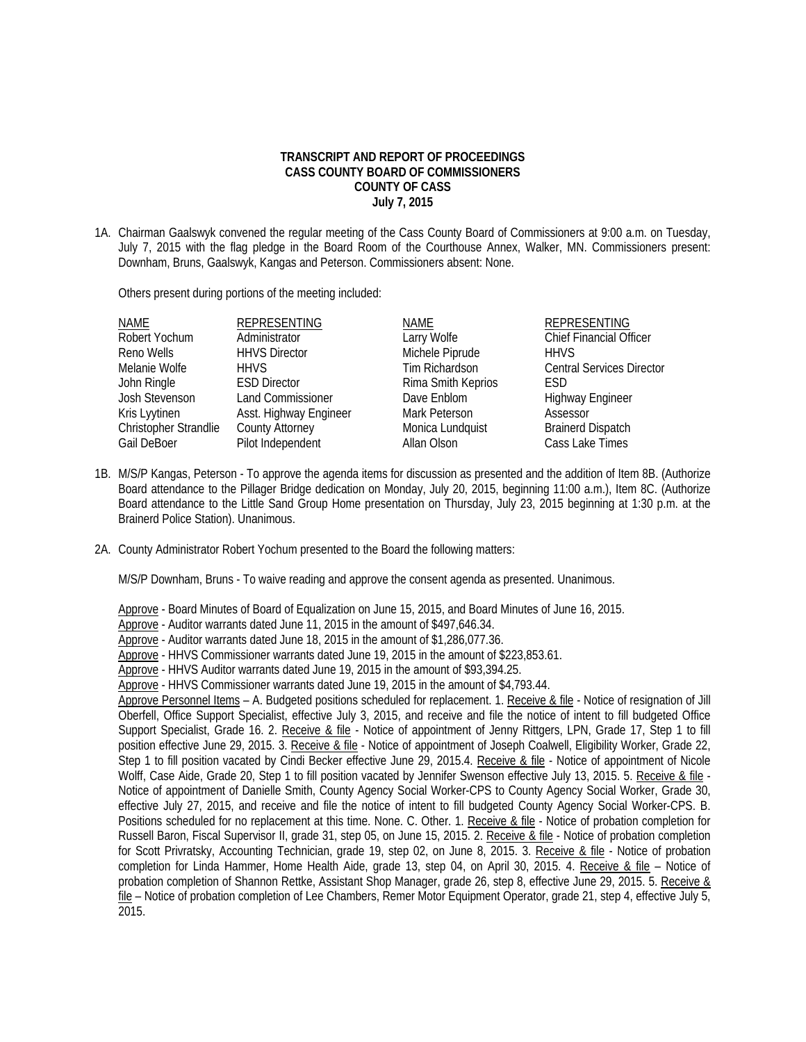## **TRANSCRIPT AND REPORT OF PROCEEDINGS CASS COUNTY BOARD OF COMMISSIONERS COUNTY OF CASS July 7, 2015**

1A. Chairman Gaalswyk convened the regular meeting of the Cass County Board of Commissioners at 9:00 a.m. on Tuesday, July 7, 2015 with the flag pledge in the Board Room of the Courthouse Annex, Walker, MN. Commissioners present: Downham, Bruns, Gaalswyk, Kangas and Peterson. Commissioners absent: None.

Others present during portions of the meeting included:

| NAME<br>Robert Yochum         | <b>REPRESENTING</b><br>Administrator | NAME<br>Larry Wolfe                  | <b>REPRESENTING</b><br>Chief Financial Officer |
|-------------------------------|--------------------------------------|--------------------------------------|------------------------------------------------|
| Reno Wells                    | <b>HHVS Director</b>                 | Michele Piprude                      | <b>HHVS</b>                                    |
| Melanie Wolfe                 | <b>HHVS</b><br><b>ESD Director</b>   | Tim Richardson<br>Rima Smith Keprios | <b>Central Services Director</b><br><b>FSD</b> |
| John Ringle<br>Josh Stevenson | <b>Land Commissioner</b>             | Dave Enblom                          | <b>Highway Engineer</b>                        |
| Kris Lyytinen                 | Asst. Highway Engineer               | Mark Peterson                        | Assessor                                       |
| Christopher Strandlie         | <b>County Attorney</b>               | Monica Lundquist                     | <b>Brainerd Dispatch</b>                       |
| Gail DeBoer                   | Pilot Independent                    | Allan Olson                          | Cass Lake Times                                |

- 1B. M/S/P Kangas, Peterson To approve the agenda items for discussion as presented and the addition of Item 8B. (Authorize Board attendance to the Pillager Bridge dedication on Monday, July 20, 2015, beginning 11:00 a.m.), Item 8C. (Authorize Board attendance to the Little Sand Group Home presentation on Thursday, July 23, 2015 beginning at 1:30 p.m. at the Brainerd Police Station). Unanimous.
- 2A. County Administrator Robert Yochum presented to the Board the following matters:

M/S/P Downham, Bruns - To waive reading and approve the consent agenda as presented. Unanimous.

Approve - Board Minutes of Board of Equalization on June 15, 2015, and Board Minutes of June 16, 2015.

Approve - Auditor warrants dated June 11, 2015 in the amount of \$497,646.34.

Approve - Auditor warrants dated June 18, 2015 in the amount of \$1,286,077.36.

Approve - HHVS Commissioner warrants dated June 19, 2015 in the amount of \$223,853.61.

Approve - HHVS Auditor warrants dated June 19, 2015 in the amount of \$93,394.25.

Approve - HHVS Commissioner warrants dated June 19, 2015 in the amount of \$4,793.44.

Approve Personnel Items – A. Budgeted positions scheduled for replacement. 1. Receive & file - Notice of resignation of Jill Oberfell, Office Support Specialist, effective July 3, 2015, and receive and file the notice of intent to fill budgeted Office Support Specialist, Grade 16. 2. Receive & file - Notice of appointment of Jenny Rittgers, LPN, Grade 17, Step 1 to fill position effective June 29, 2015. 3. Receive & file - Notice of appointment of Joseph Coalwell, Eligibility Worker, Grade 22, Step 1 to fill position vacated by Cindi Becker effective June 29, 2015.4. Receive & file - Notice of appointment of Nicole Wolff, Case Aide, Grade 20, Step 1 to fill position vacated by Jennifer Swenson effective July 13, 2015. 5. Receive & file - Notice of appointment of Danielle Smith, County Agency Social Worker-CPS to County Agency Social Worker, Grade 30, effective July 27, 2015, and receive and file the notice of intent to fill budgeted County Agency Social Worker-CPS. B. Positions scheduled for no replacement at this time. None. C. Other. 1. Receive & file - Notice of probation completion for Russell Baron, Fiscal Supervisor II, grade 31, step 05, on June 15, 2015. 2. Receive & file - Notice of probation completion for Scott Privratsky, Accounting Technician, grade 19, step 02, on June 8, 2015. 3. Receive & file - Notice of probation completion for Linda Hammer, Home Health Aide, grade 13, step 04, on April 30, 2015. 4. Receive & file – Notice of probation completion of Shannon Rettke, Assistant Shop Manager, grade 26, step 8, effective June 29, 2015. 5. Receive & file – Notice of probation completion of Lee Chambers, Remer Motor Equipment Operator, grade 21, step 4, effective July 5,  $2015.$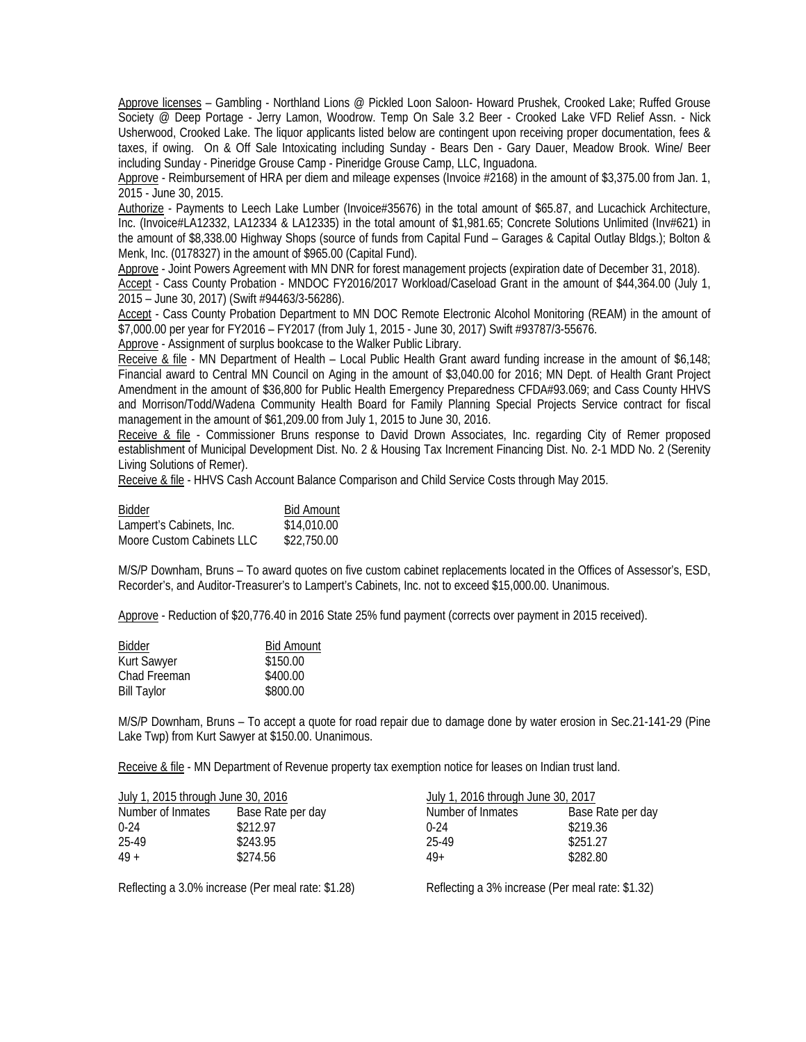Approve licenses – Gambling - Northland Lions @ Pickled Loon Saloon- Howard Prushek, Crooked Lake; Ruffed Grouse Society @ Deep Portage - Jerry Lamon, Woodrow. Temp On Sale 3.2 Beer - Crooked Lake VFD Relief Assn. - Nick Usherwood, Crooked Lake. The liquor applicants listed below are contingent upon receiving proper documentation, fees & taxes, if owing. On & Off Sale Intoxicating including Sunday - Bears Den - Gary Dauer, Meadow Brook. Wine/ Beer including Sunday - Pineridge Grouse Camp - Pineridge Grouse Camp, LLC, Inguadona.

 Approve - Reimbursement of HRA per diem and mileage expenses (Invoice #2168) in the amount of \$3,375.00 from Jan. 1, 2015 - June 30, 2015.

 Authorize - Payments to Leech Lake Lumber (Invoice#35676) in the total amount of \$65.87, and Lucachick Architecture, Inc. (Invoice#LA12332, LA12334 & LA12335) in the total amount of \$1,981.65; Concrete Solutions Unlimited (Inv#621) in the amount of \$8,338.00 Highway Shops (source of funds from Capital Fund – Garages & Capital Outlay Bldgs.); Bolton & Menk, Inc. (0178327) in the amount of \$965.00 (Capital Fund).

 Approve - Joint Powers Agreement with MN DNR for forest management projects (expiration date of December 31, 2018). Accept - Cass County Probation - MNDOC FY2016/2017 Workload/Caseload Grant in the amount of \$44,364.00 (July 1, 2015 – June 30, 2017) (Swift #94463/3-56286).

 Accept - Cass County Probation Department to MN DOC Remote Electronic Alcohol Monitoring (REAM) in the amount of \$7,000.00 per year for FY2016 – FY2017 (from July 1, 2015 - June 30, 2017) Swift #93787/3-55676.

Approve - Assignment of surplus bookcase to the Walker Public Library.

 Receive & file - MN Department of Health – Local Public Health Grant award funding increase in the amount of \$6,148; Financial award to Central MN Council on Aging in the amount of \$3,040.00 for 2016; MN Dept. of Health Grant Project Amendment in the amount of \$36,800 for Public Health Emergency Preparedness CFDA#93.069; and Cass County HHVS and Morrison/Todd/Wadena Community Health Board for Family Planning Special Projects Service contract for fiscal management in the amount of \$61,209.00 from July 1, 2015 to June 30, 2016.

 Receive & file - Commissioner Bruns response to David Drown Associates, Inc. regarding City of Remer proposed establishment of Municipal Development Dist. No. 2 & Housing Tax Increment Financing Dist. No. 2-1 MDD No. 2 (Serenity Living Solutions of Remer).

Receive & file - HHVS Cash Account Balance Comparison and Child Service Costs through May 2015.

| Bidder                    | <b>Bid Amount</b> |
|---------------------------|-------------------|
| Lampert's Cabinets, Inc.  | \$14,010.00       |
| Moore Custom Cabinets LLC | \$22,750.00       |

 M/S/P Downham, Bruns – To award quotes on five custom cabinet replacements located in the Offices of Assessor's, ESD, Recorder's, and Auditor-Treasurer's to Lampert's Cabinets, Inc. not to exceed \$15,000.00. Unanimous.

Approve - Reduction of \$20,776.40 in 2016 State 25% fund payment (corrects over payment in 2015 received).

| <b>Bidder</b>      | <b>Bid Amount</b> |
|--------------------|-------------------|
| <b>Kurt Sawyer</b> | \$150.00          |
| Chad Freeman       | \$400.00          |
| <b>Bill Taylor</b> | \$800.00          |

 M/S/P Downham, Bruns – To accept a quote for road repair due to damage done by water erosion in Sec.21-141-29 (Pine Lake Twp) from Kurt Sawyer at \$150.00. Unanimous.

Receive & file - MN Department of Revenue property tax exemption notice for leases on Indian trust land.

| July 1, 2015 through June 30, 2016 |                   | July 1, 2016 through June 30, 2017 |                   |
|------------------------------------|-------------------|------------------------------------|-------------------|
| Number of Inmates                  | Base Rate per day | Number of Inmates                  | Base Rate per day |
| በ-24                               | \$212.97          | $0-24$                             | \$219.36          |
| 25-49                              | \$243.95          | 25-49                              | \$251.27          |
| $49 +$                             | \$274.56          | $49+$                              | \$282.80          |
|                                    |                   |                                    |                   |

Reflecting a 3.0% increase (Per meal rate: \$1.28) Reflecting a 3% increase (Per meal rate: \$1.32)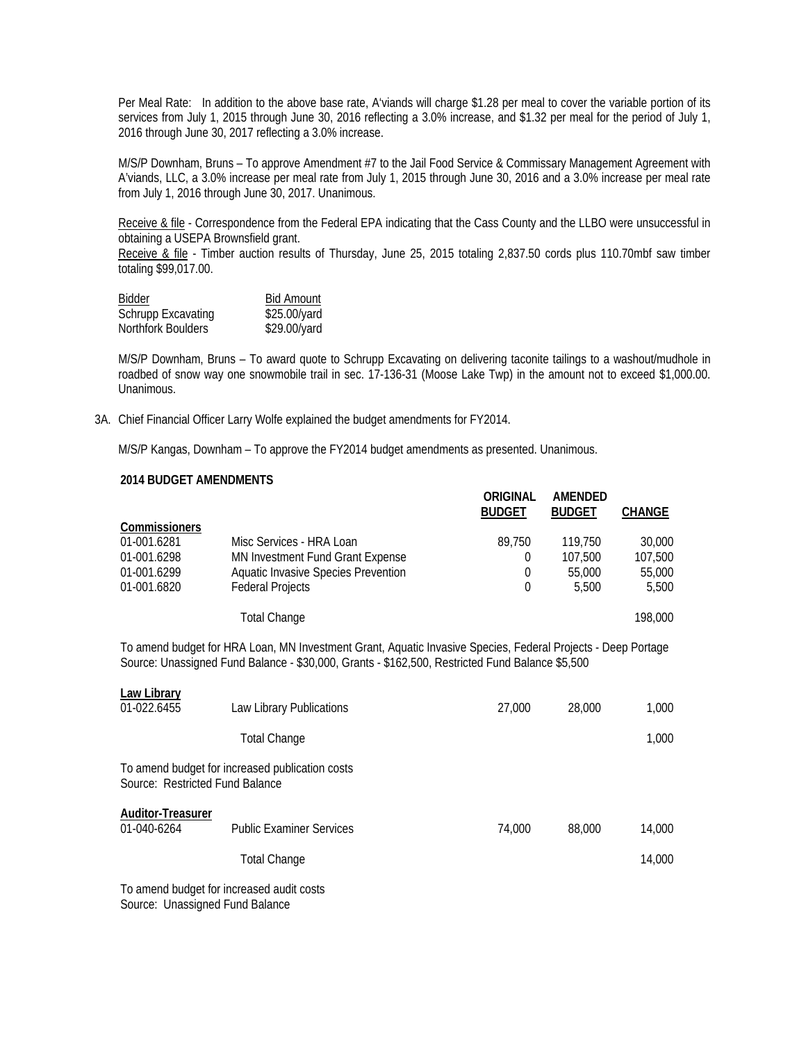Per Meal Rate: In addition to the above base rate, A'viands will charge \$1.28 per meal to cover the variable portion of its services from July 1, 2015 through June 30, 2016 reflecting a 3.0% increase, and \$1.32 per meal for the period of July 1, 2016 through June 30, 2017 reflecting a 3.0% increase.

 M/S/P Downham, Bruns – To approve Amendment #7 to the Jail Food Service & Commissary Management Agreement with A'viands, LLC, a 3.0% increase per meal rate from July 1, 2015 through June 30, 2016 and a 3.0% increase per meal rate from July 1, 2016 through June 30, 2017. Unanimous.

Receive & file - Correspondence from the Federal EPA indicating that the Cass County and the LLBO were unsuccessful in obtaining a USEPA Brownsfield grant.

Receive & file - Timber auction results of Thursday, June 25, 2015 totaling 2,837.50 cords plus 110.70mbf saw timber totaling \$99,017.00.

| <b>Bidder</b>             | <b>Bid Amount</b> |
|---------------------------|-------------------|
| <b>Schrupp Excavating</b> | \$25.00/yard      |
| Northfork Boulders        | \$29.00/yard      |

 M/S/P Downham, Bruns – To award quote to Schrupp Excavating on delivering taconite tailings to a washout/mudhole in roadbed of snow way one snowmobile trail in sec. 17-136-31 (Moose Lake Twp) in the amount not to exceed \$1,000.00. Unanimous.

3A. Chief Financial Officer Larry Wolfe explained the budget amendments for FY2014.

M/S/P Kangas, Downham – To approve the FY2014 budget amendments as presented. Unanimous.

## **2014 BUDGET AMENDMENTS**

|                                                                                                                                                                                                                 |                                     | ORIGINAL<br><b>BUDGET</b> | AMENDED<br><b>BUDGET</b> | <b>CHANGE</b> |
|-----------------------------------------------------------------------------------------------------------------------------------------------------------------------------------------------------------------|-------------------------------------|---------------------------|--------------------------|---------------|
| <b>Commissioners</b>                                                                                                                                                                                            |                                     |                           |                          |               |
| 01-001.6281                                                                                                                                                                                                     | Misc Services - HRA Loan            | 89,750                    | 119,750                  | 30,000        |
| 01-001.6298                                                                                                                                                                                                     | MN Investment Fund Grant Expense    | $\Omega$                  | 107,500                  | 107,500       |
| 01-001.6299                                                                                                                                                                                                     | Aquatic Invasive Species Prevention | $\theta$                  | 55,000                   | 55,000        |
| 01-001.6820                                                                                                                                                                                                     | <b>Federal Projects</b>             | $\Omega$                  | 5,500                    | 5,500         |
|                                                                                                                                                                                                                 | <b>Total Change</b>                 |                           |                          | 198,000       |
| To amend budget for HRA Loan, MN Investment Grant, Aquatic Invasive Species, Federal Projects - Deep Portage<br>Source: Unassigned Fund Balance - \$30,000, Grants - \$162,500, Restricted Fund Balance \$5,500 |                                     |                           |                          |               |
| Law Library                                                                                                                                                                                                     |                                     |                           |                          |               |
| 01-022.6455                                                                                                                                                                                                     | Law Library Publications            | 27,000                    | 28,000                   | 1,000         |
|                                                                                                                                                                                                                 | <b>Total Change</b>                 |                           |                          | 1,000         |
| To amend budget for increased publication costs<br>Source: Restricted Fund Balance                                                                                                                              |                                     |                           |                          |               |
| <b>Auditor-Treasurer</b><br>01-040-6264                                                                                                                                                                         | <b>Public Examiner Services</b>     | 74,000                    | 88,000                   | 14,000        |

Total Change 14,000

To amend budget for increased audit costs Source: Unassigned Fund Balance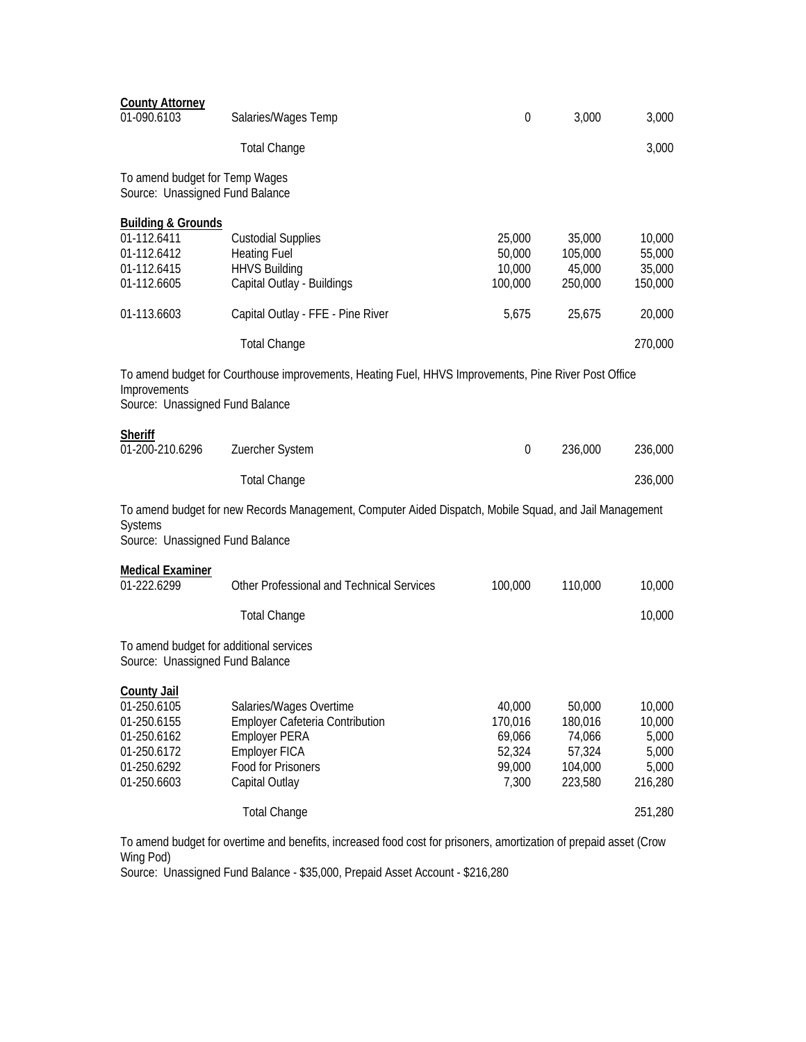| <b>County Attorney</b><br>01-090.6103                                                                                                                       | Salaries/Wages Temp                                                                                                                                                                                                                                                        | $\boldsymbol{0}$                               | 3,000                                            | 3,000                                                      |
|-------------------------------------------------------------------------------------------------------------------------------------------------------------|----------------------------------------------------------------------------------------------------------------------------------------------------------------------------------------------------------------------------------------------------------------------------|------------------------------------------------|--------------------------------------------------|------------------------------------------------------------|
|                                                                                                                                                             | <b>Total Change</b>                                                                                                                                                                                                                                                        |                                                |                                                  | 3,000                                                      |
| To amend budget for Temp Wages<br>Source: Unassigned Fund Balance                                                                                           |                                                                                                                                                                                                                                                                            |                                                |                                                  |                                                            |
| <b>Building &amp; Grounds</b><br>01-112.6411<br>01-112.6412<br>01-112.6415<br>01-112.6605<br>01-113.6603<br>Improvements<br>Source: Unassigned Fund Balance | <b>Custodial Supplies</b><br><b>Heating Fuel</b><br><b>HHVS Building</b><br>Capital Outlay - Buildings<br>Capital Outlay - FFE - Pine River<br><b>Total Change</b><br>To amend budget for Courthouse improvements, Heating Fuel, HHVS Improvements, Pine River Post Office | 25,000<br>50,000<br>10,000<br>100,000<br>5,675 | 35,000<br>105,000<br>45,000<br>250,000<br>25,675 | 10,000<br>55,000<br>35,000<br>150,000<br>20,000<br>270,000 |
| <b>Sheriff</b><br>01-200-210.6296                                                                                                                           | Zuercher System                                                                                                                                                                                                                                                            | $\boldsymbol{0}$                               | 236,000                                          | 236,000                                                    |
|                                                                                                                                                             | <b>Total Change</b>                                                                                                                                                                                                                                                        |                                                |                                                  | 236,000                                                    |
| Systems<br>Source: Unassigned Fund Balance                                                                                                                  | To amend budget for new Records Management, Computer Aided Dispatch, Mobile Squad, and Jail Management                                                                                                                                                                     |                                                |                                                  |                                                            |
| <b>Medical Examiner</b><br>01-222.6299                                                                                                                      | Other Professional and Technical Services                                                                                                                                                                                                                                  | 100,000                                        | 110,000                                          | 10,000                                                     |
|                                                                                                                                                             | <b>Total Change</b>                                                                                                                                                                                                                                                        |                                                |                                                  | 10,000                                                     |
| To amend budget for additional services<br>Source: Unassigned Fund Balance                                                                                  |                                                                                                                                                                                                                                                                            |                                                |                                                  |                                                            |
| <b>County Jail</b><br>01-250.6105<br>01-250.6155<br>01-250.6162                                                                                             | Salaries/Wages Overtime<br><b>Employer Cafeteria Contribution</b>                                                                                                                                                                                                          | 40,000<br>170,016                              | 50,000<br>180,016                                | 10,000<br>10,000                                           |
| 01-250.6172<br>01-250.6292<br>01-250.6603                                                                                                                   | <b>Employer PERA</b><br><b>Employer FICA</b><br>Food for Prisoners<br>Capital Outlay<br><b>Total Change</b>                                                                                                                                                                | 69,066<br>52,324<br>99,000<br>7,300            | 74,066<br>57,324<br>104,000<br>223,580           | 5,000<br>5,000<br>5,000<br>216,280<br>251,280              |

To amend budget for overtime and benefits, increased food cost for prisoners, amortization of prepaid asset (Crow Wing Pod)

Source: Unassigned Fund Balance - \$35,000, Prepaid Asset Account - \$216,280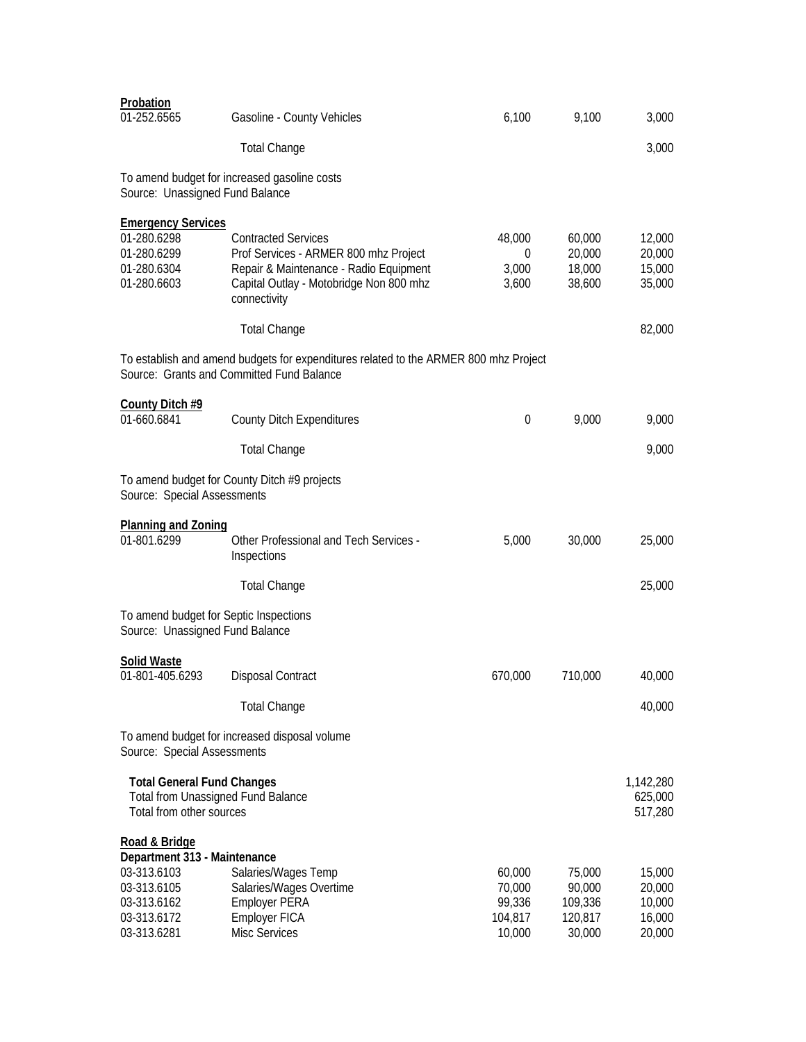| Probation<br>01-252.6565                                                                                                 | Gasoline - County Vehicles                                                                                                                                               | 6,100                                           | 9,100                                            | 3,000                                          |
|--------------------------------------------------------------------------------------------------------------------------|--------------------------------------------------------------------------------------------------------------------------------------------------------------------------|-------------------------------------------------|--------------------------------------------------|------------------------------------------------|
|                                                                                                                          | <b>Total Change</b>                                                                                                                                                      |                                                 |                                                  | 3,000                                          |
| Source: Unassigned Fund Balance                                                                                          | To amend budget for increased gasoline costs                                                                                                                             |                                                 |                                                  |                                                |
| <b>Emergency Services</b><br>01-280.6298<br>01-280.6299<br>01-280.6304<br>01-280.6603                                    | <b>Contracted Services</b><br>Prof Services - ARMER 800 mhz Project<br>Repair & Maintenance - Radio Equipment<br>Capital Outlay - Motobridge Non 800 mhz<br>connectivity | 48,000<br>0<br>3,000<br>3,600                   | 60,000<br>20,000<br>18,000<br>38,600             | 12,000<br>20,000<br>15,000<br>35,000           |
|                                                                                                                          | <b>Total Change</b>                                                                                                                                                      |                                                 |                                                  | 82,000                                         |
|                                                                                                                          | To establish and amend budgets for expenditures related to the ARMER 800 mhz Project<br>Source: Grants and Committed Fund Balance                                        |                                                 |                                                  |                                                |
| County Ditch #9<br>01-660.6841                                                                                           | <b>County Ditch Expenditures</b>                                                                                                                                         | 0                                               | 9,000                                            | 9,000                                          |
|                                                                                                                          | <b>Total Change</b>                                                                                                                                                      |                                                 |                                                  | 9,000                                          |
| Source: Special Assessments                                                                                              | To amend budget for County Ditch #9 projects                                                                                                                             |                                                 |                                                  |                                                |
| <b>Planning and Zoning</b><br>01-801.6299                                                                                | <b>Other Professional and Tech Services -</b><br>Inspections                                                                                                             | 5,000                                           | 30,000                                           | 25,000                                         |
|                                                                                                                          | <b>Total Change</b>                                                                                                                                                      |                                                 |                                                  | 25,000                                         |
| To amend budget for Septic Inspections<br>Source: Unassigned Fund Balance                                                |                                                                                                                                                                          |                                                 |                                                  |                                                |
| <b>Solid Waste</b><br>01-801-405.6293                                                                                    | <b>Disposal Contract</b>                                                                                                                                                 | 670,000                                         | 710,000                                          | 40,000                                         |
|                                                                                                                          | <b>Total Change</b>                                                                                                                                                      |                                                 |                                                  | 40,000                                         |
| Source: Special Assessments                                                                                              | To amend budget for increased disposal volume                                                                                                                            |                                                 |                                                  |                                                |
| <b>Total General Fund Changes</b><br><b>Total from Unassigned Fund Balance</b><br>Total from other sources               |                                                                                                                                                                          |                                                 |                                                  | 1,142,280<br>625,000<br>517,280                |
| Road & Bridge<br>Department 313 - Maintenance<br>03-313.6103<br>03-313.6105<br>03-313.6162<br>03-313.6172<br>03-313.6281 | Salaries/Wages Temp<br>Salaries/Wages Overtime<br><b>Employer PERA</b><br>Employer FICA<br><b>Misc Services</b>                                                          | 60,000<br>70,000<br>99,336<br>104,817<br>10,000 | 75,000<br>90,000<br>109,336<br>120,817<br>30,000 | 15,000<br>20,000<br>10,000<br>16,000<br>20,000 |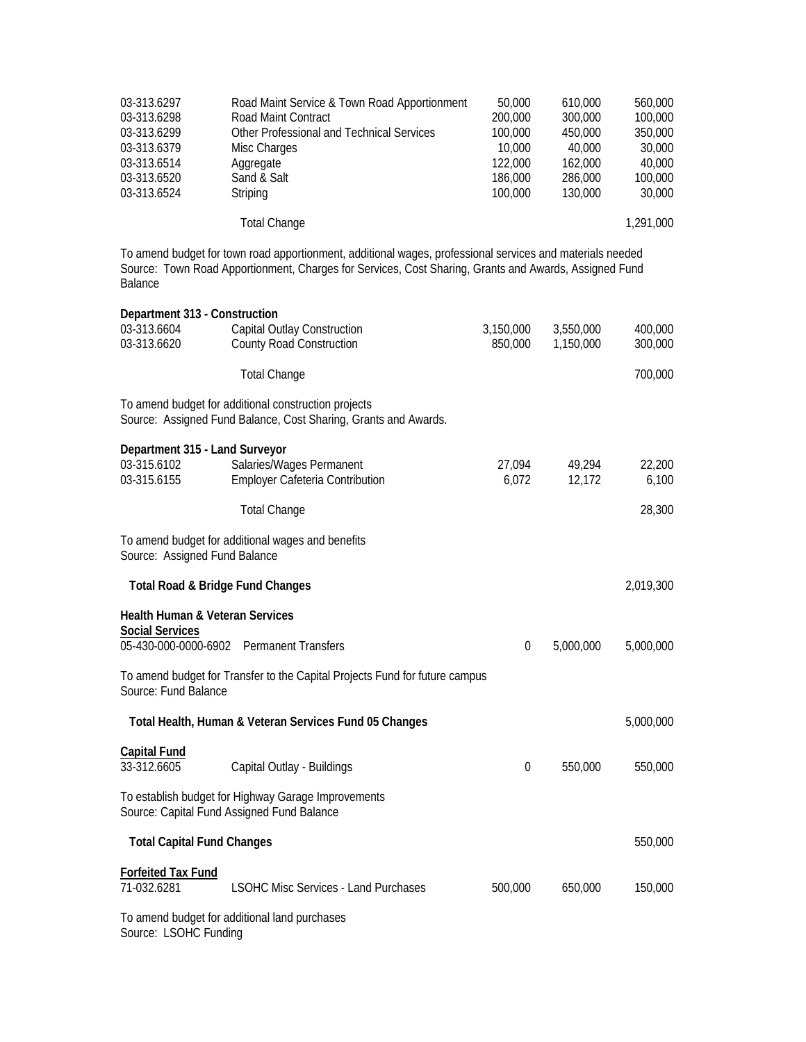| 03-313.6297<br>03-313.6298<br>03-313.6299<br>03-313.6379<br>03-313.6514<br>03-313.6520<br>03-313.6524 | Road Maint Service & Town Road Apportionment<br>Road Maint Contract<br>Other Professional and Technical Services<br>Misc Charges<br>Aggregate<br>Sand & Salt<br>Striping<br><b>Total Change</b>                    | 50,000<br>200,000<br>100,000<br>10,000<br>122,000<br>186,000<br>100,000 | 610,000<br>300,000<br>450,000<br>40,000<br>162,000<br>286,000<br>130,000 | 560,000<br>100,000<br>350,000<br>30,000<br>40,000<br>100,000<br>30,000<br>1,291,000 |
|-------------------------------------------------------------------------------------------------------|--------------------------------------------------------------------------------------------------------------------------------------------------------------------------------------------------------------------|-------------------------------------------------------------------------|--------------------------------------------------------------------------|-------------------------------------------------------------------------------------|
| <b>Balance</b>                                                                                        | To amend budget for town road apportionment, additional wages, professional services and materials needed<br>Source: Town Road Apportionment, Charges for Services, Cost Sharing, Grants and Awards, Assigned Fund |                                                                         |                                                                          |                                                                                     |
| Department 313 - Construction<br>03-313.6604<br>03-313.6620                                           | Capital Outlay Construction<br><b>County Road Construction</b><br><b>Total Change</b>                                                                                                                              | 3,150,000<br>850,000                                                    | 3,550,000<br>1,150,000                                                   | 400,000<br>300,000<br>700,000                                                       |
|                                                                                                       | To amend budget for additional construction projects<br>Source: Assigned Fund Balance, Cost Sharing, Grants and Awards.                                                                                            |                                                                         |                                                                          |                                                                                     |
| Department 315 - Land Surveyor<br>03-315.6102<br>03-315.6155                                          | Salaries/Wages Permanent<br>Employer Cafeteria Contribution                                                                                                                                                        | 27,094<br>6,072                                                         | 49,294<br>12,172                                                         | 22,200<br>6,100                                                                     |
|                                                                                                       | <b>Total Change</b>                                                                                                                                                                                                |                                                                         |                                                                          | 28,300                                                                              |
| Source: Assigned Fund Balance                                                                         | To amend budget for additional wages and benefits                                                                                                                                                                  |                                                                         |                                                                          |                                                                                     |
| Total Road & Bridge Fund Changes                                                                      |                                                                                                                                                                                                                    |                                                                         |                                                                          | 2,019,300                                                                           |
| <b>Health Human &amp; Veteran Services</b><br><b>Social Services</b>                                  | 05-430-000-0000-6902 Permanent Transfers                                                                                                                                                                           | $\overline{0}$                                                          | 5,000,000                                                                | 5,000,000                                                                           |
| Source: Fund Balance                                                                                  | To amend budget for Transfer to the Capital Projects Fund for future campus                                                                                                                                        |                                                                         |                                                                          |                                                                                     |
|                                                                                                       | Total Health, Human & Veteran Services Fund 05 Changes                                                                                                                                                             |                                                                         |                                                                          | 5,000,000                                                                           |
| <b>Capital Fund</b><br>33-312.6605                                                                    | Capital Outlay - Buildings                                                                                                                                                                                         | $\boldsymbol{0}$                                                        | 550,000                                                                  | 550,000                                                                             |
|                                                                                                       | To establish budget for Highway Garage Improvements<br>Source: Capital Fund Assigned Fund Balance                                                                                                                  |                                                                         |                                                                          |                                                                                     |
| <b>Total Capital Fund Changes</b>                                                                     |                                                                                                                                                                                                                    |                                                                         |                                                                          | 550,000                                                                             |
| <b>Forfeited Tax Fund</b><br>71-032.6281                                                              | <b>LSOHC Misc Services - Land Purchases</b>                                                                                                                                                                        | 500,000                                                                 | 650,000                                                                  | 150,000                                                                             |
|                                                                                                       | To amend budget for additional land purchases                                                                                                                                                                      |                                                                         |                                                                          |                                                                                     |

Source: LSOHC Funding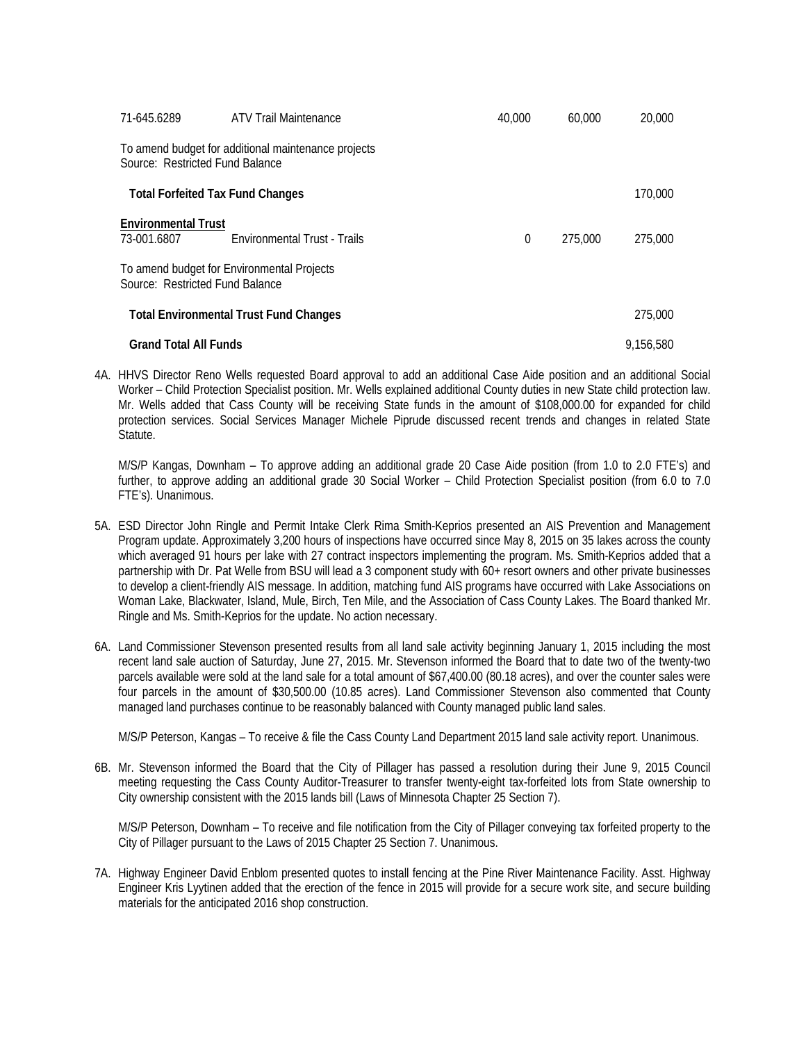| 71-645.6289                               | <b>ATV Trail Maintenance</b>                        | 40,000   | 60,000  | 20,000    |
|-------------------------------------------|-----------------------------------------------------|----------|---------|-----------|
| Source: Restricted Fund Balance           | To amend budget for additional maintenance projects |          |         |           |
|                                           | <b>Total Forfeited Tax Fund Changes</b>             |          |         | 170,000   |
| <b>Environmental Trust</b><br>73-001.6807 | <b>Fnvironmental Trust - Trails</b>                 | $\theta$ | 275,000 | 275,000   |
| Source: Restricted Fund Balance           | To amend budget for Environmental Projects          |          |         |           |
|                                           | <b>Total Environmental Trust Fund Changes</b>       |          |         | 275,000   |
| <b>Grand Total All Funds</b>              |                                                     |          |         | 9.156.580 |

4A. HHVS Director Reno Wells requested Board approval to add an additional Case Aide position and an additional Social Worker – Child Protection Specialist position. Mr. Wells explained additional County duties in new State child protection law. Mr. Wells added that Cass County will be receiving State funds in the amount of \$108,000.00 for expanded for child protection services. Social Services Manager Michele Piprude discussed recent trends and changes in related State Statute.

M/S/P Kangas, Downham – To approve adding an additional grade 20 Case Aide position (from 1.0 to 2.0 FTE's) and further, to approve adding an additional grade 30 Social Worker – Child Protection Specialist position (from 6.0 to 7.0 FTE's). Unanimous.

- 5A. ESD Director John Ringle and Permit Intake Clerk Rima Smith-Keprios presented an AIS Prevention and Management Program update. Approximately 3,200 hours of inspections have occurred since May 8, 2015 on 35 lakes across the county which averaged 91 hours per lake with 27 contract inspectors implementing the program. Ms. Smith-Keprios added that a partnership with Dr. Pat Welle from BSU will lead a 3 component study with 60+ resort owners and other private businesses to develop a client-friendly AIS message. In addition, matching fund AIS programs have occurred with Lake Associations on Woman Lake, Blackwater, Island, Mule, Birch, Ten Mile, and the Association of Cass County Lakes. The Board thanked Mr. Ringle and Ms. Smith-Keprios for the update. No action necessary.
- 6A. Land Commissioner Stevenson presented results from all land sale activity beginning January 1, 2015 including the most recent land sale auction of Saturday, June 27, 2015. Mr. Stevenson informed the Board that to date two of the twenty-two parcels available were sold at the land sale for a total amount of \$67,400.00 (80.18 acres), and over the counter sales were four parcels in the amount of \$30,500.00 (10.85 acres). Land Commissioner Stevenson also commented that County managed land purchases continue to be reasonably balanced with County managed public land sales.

M/S/P Peterson, Kangas – To receive & file the Cass County Land Department 2015 land sale activity report. Unanimous.

6B. Mr. Stevenson informed the Board that the City of Pillager has passed a resolution during their June 9, 2015 Council meeting requesting the Cass County Auditor-Treasurer to transfer twenty-eight tax-forfeited lots from State ownership to City ownership consistent with the 2015 lands bill (Laws of Minnesota Chapter 25 Section 7).

M/S/P Peterson, Downham – To receive and file notification from the City of Pillager conveying tax forfeited property to the City of Pillager pursuant to the Laws of 2015 Chapter 25 Section 7. Unanimous.

7A. Highway Engineer David Enblom presented quotes to install fencing at the Pine River Maintenance Facility. Asst. Highway Engineer Kris Lyytinen added that the erection of the fence in 2015 will provide for a secure work site, and secure building materials for the anticipated 2016 shop construction.